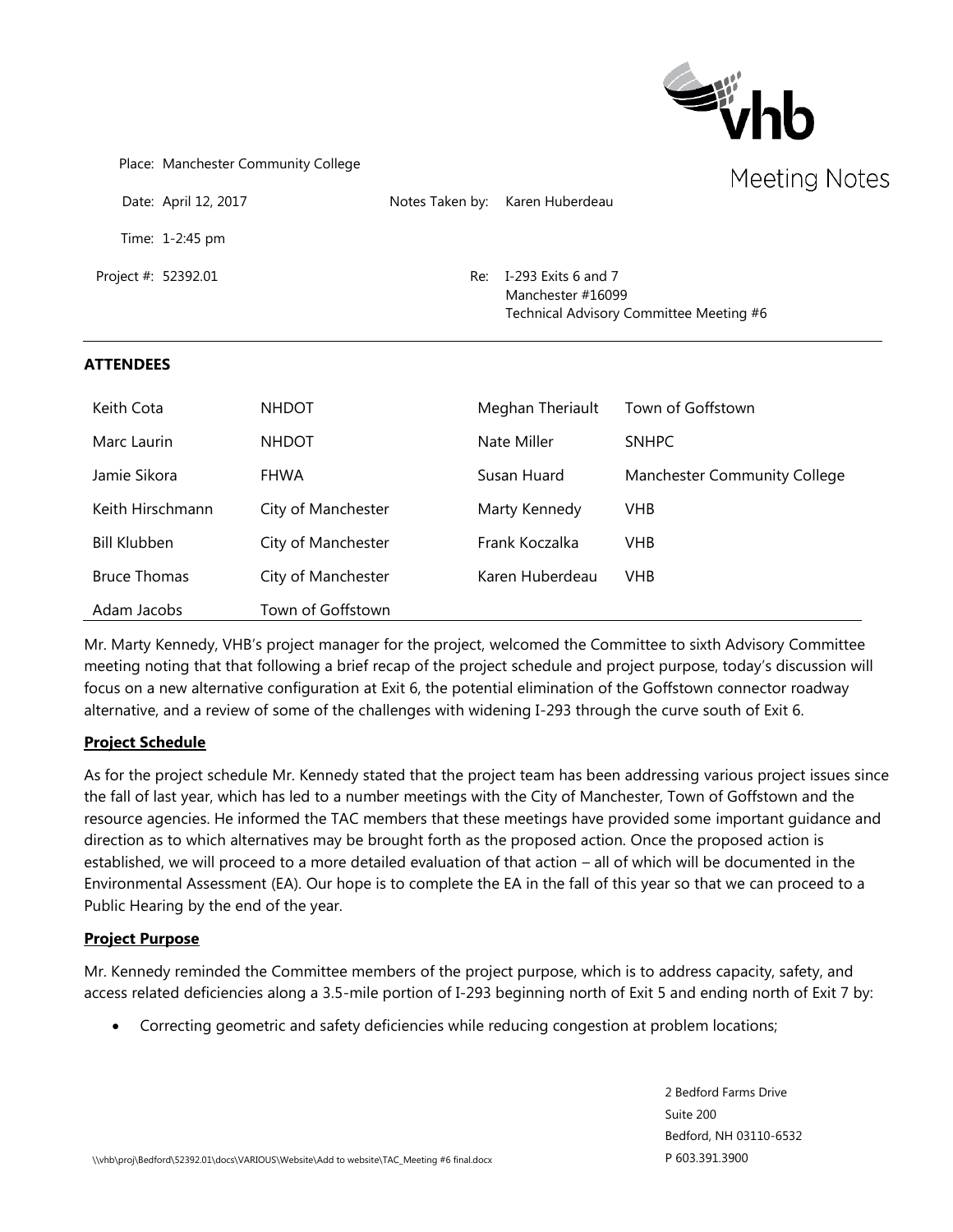

| Place: Manchester Community College |                                                                                         | Meeting Note |
|-------------------------------------|-----------------------------------------------------------------------------------------|--------------|
| Date: April 12, 2017                | Notes Taken by: Karen Huberdeau                                                         |              |
| Time: $1-2:45$ pm                   |                                                                                         |              |
| Project #: 52392.01                 | Re: I-293 Exits 6 and 7<br>Manchester #16099<br>Technical Advisory Committee Meeting #6 |              |

#### **ATTENDEES**

| Keith Cota          | <b>NHDOT</b>       | Meghan Theriault | Town of Goffstown            |
|---------------------|--------------------|------------------|------------------------------|
| Marc Laurin         | <b>NHDOT</b>       | Nate Miller      | <b>SNHPC</b>                 |
| Jamie Sikora        | <b>FHWA</b>        | Susan Huard      | Manchester Community College |
| Keith Hirschmann    | City of Manchester | Marty Kennedy    | <b>VHB</b>                   |
| Bill Klubben        | City of Manchester | Frank Koczalka   | <b>VHB</b>                   |
| <b>Bruce Thomas</b> | City of Manchester | Karen Huberdeau  | <b>VHB</b>                   |
| Adam Jacobs         | Town of Goffstown  |                  |                              |

Mr. Marty Kennedy, VHB's project manager for the project, welcomed the Committee to sixth Advisory Committee meeting noting that that following a brief recap of the project schedule and project purpose, today's discussion will focus on a new alternative configuration at Exit 6, the potential elimination of the Goffstown connector roadway alternative, and a review of some of the challenges with widening I-293 through the curve south of Exit 6.

#### **Project Schedule**

As for the project schedule Mr. Kennedy stated that the project team has been addressing various project issues since the fall of last year, which has led to a number meetings with the City of Manchester, Town of Goffstown and the resource agencies. He informed the TAC members that these meetings have provided some important guidance and direction as to which alternatives may be brought forth as the proposed action. Once the proposed action is established, we will proceed to a more detailed evaluation of that action – all of which will be documented in the Environmental Assessment (EA). Our hope is to complete the EA in the fall of this year so that we can proceed to a Public Hearing by the end of the year.

#### **Project Purpose**

Mr. Kennedy reminded the Committee members of the project purpose, which is to address capacity, safety, and access related deficiencies along a 3.5-mile portion of I-293 beginning north of Exit 5 and ending north of Exit 7 by:

• Correcting geometric and safety deficiencies while reducing congestion at problem locations;

2 Bedford Farms Drive Suite 200 Bedford, NH 03110-6532 P 603.391.3900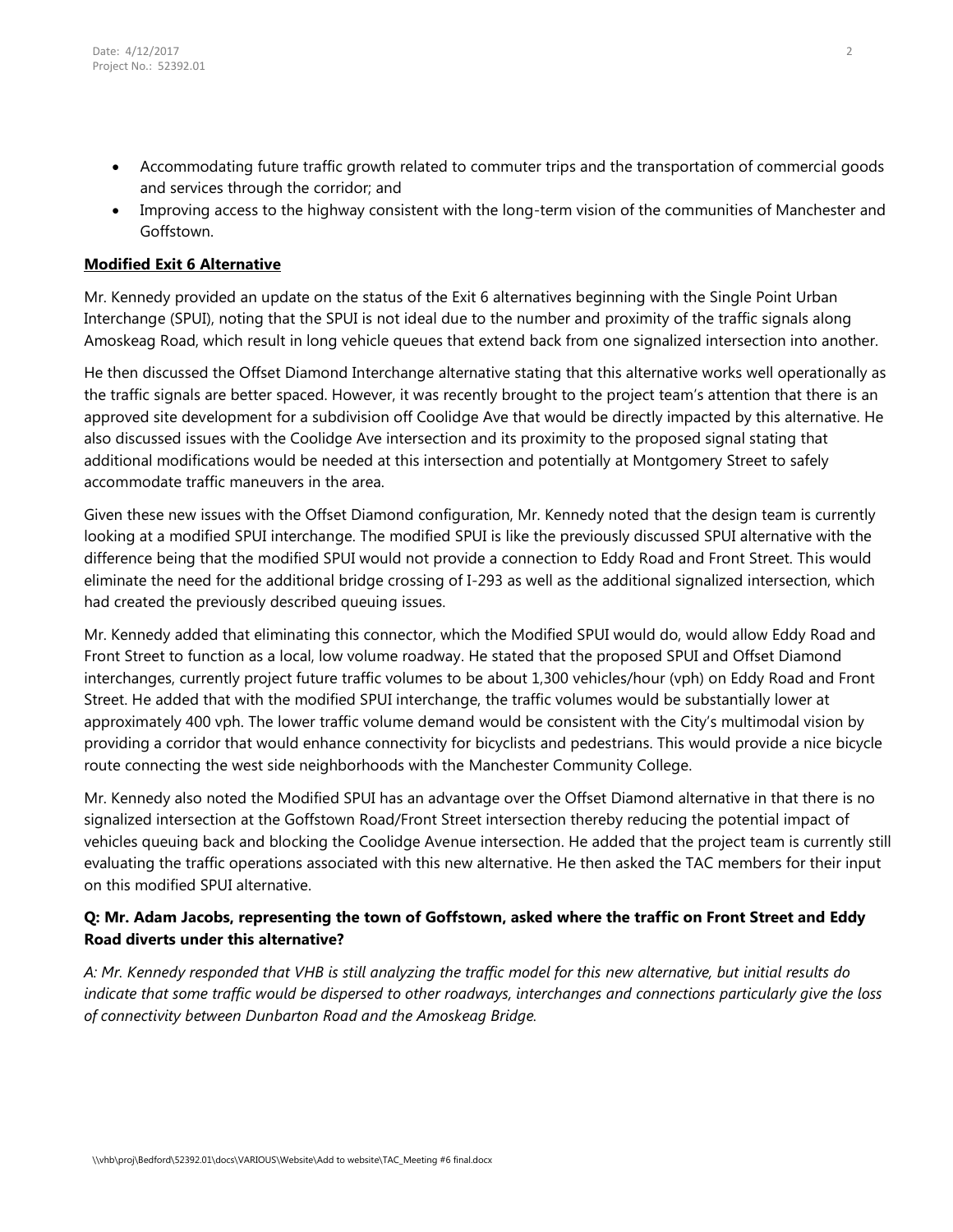- Accommodating future traffic growth related to commuter trips and the transportation of commercial goods and services through the corridor; and
- Improving access to the highway consistent with the long-term vision of the communities of Manchester and Goffstown.

### **Modified Exit 6 Alternative**

Mr. Kennedy provided an update on the status of the Exit 6 alternatives beginning with the Single Point Urban Interchange (SPUI), noting that the SPUI is not ideal due to the number and proximity of the traffic signals along Amoskeag Road, which result in long vehicle queues that extend back from one signalized intersection into another.

He then discussed the Offset Diamond Interchange alternative stating that this alternative works well operationally as the traffic signals are better spaced. However, it was recently brought to the project team's attention that there is an approved site development for a subdivision off Coolidge Ave that would be directly impacted by this alternative. He also discussed issues with the Coolidge Ave intersection and its proximity to the proposed signal stating that additional modifications would be needed at this intersection and potentially at Montgomery Street to safely accommodate traffic maneuvers in the area.

Given these new issues with the Offset Diamond configuration, Mr. Kennedy noted that the design team is currently looking at a modified SPUI interchange. The modified SPUI is like the previously discussed SPUI alternative with the difference being that the modified SPUI would not provide a connection to Eddy Road and Front Street. This would eliminate the need for the additional bridge crossing of I-293 as well as the additional signalized intersection, which had created the previously described queuing issues.

Mr. Kennedy added that eliminating this connector, which the Modified SPUI would do, would allow Eddy Road and Front Street to function as a local, low volume roadway. He stated that the proposed SPUI and Offset Diamond interchanges, currently project future traffic volumes to be about 1,300 vehicles/hour (vph) on Eddy Road and Front Street. He added that with the modified SPUI interchange, the traffic volumes would be substantially lower at approximately 400 vph. The lower traffic volume demand would be consistent with the City's multimodal vision by providing a corridor that would enhance connectivity for bicyclists and pedestrians. This would provide a nice bicycle route connecting the west side neighborhoods with the Manchester Community College.

Mr. Kennedy also noted the Modified SPUI has an advantage over the Offset Diamond alternative in that there is no signalized intersection at the Goffstown Road/Front Street intersection thereby reducing the potential impact of vehicles queuing back and blocking the Coolidge Avenue intersection. He added that the project team is currently still evaluating the traffic operations associated with this new alternative. He then asked the TAC members for their input on this modified SPUI alternative.

# **Q: Mr. Adam Jacobs, representing the town of Goffstown, asked where the traffic on Front Street and Eddy Road diverts under this alternative?**

*A: Mr. Kennedy responded that VHB is still analyzing the traffic model for this new alternative, but initial results do indicate that some traffic would be dispersed to other roadways, interchanges and connections particularly give the loss of connectivity between Dunbarton Road and the Amoskeag Bridge.*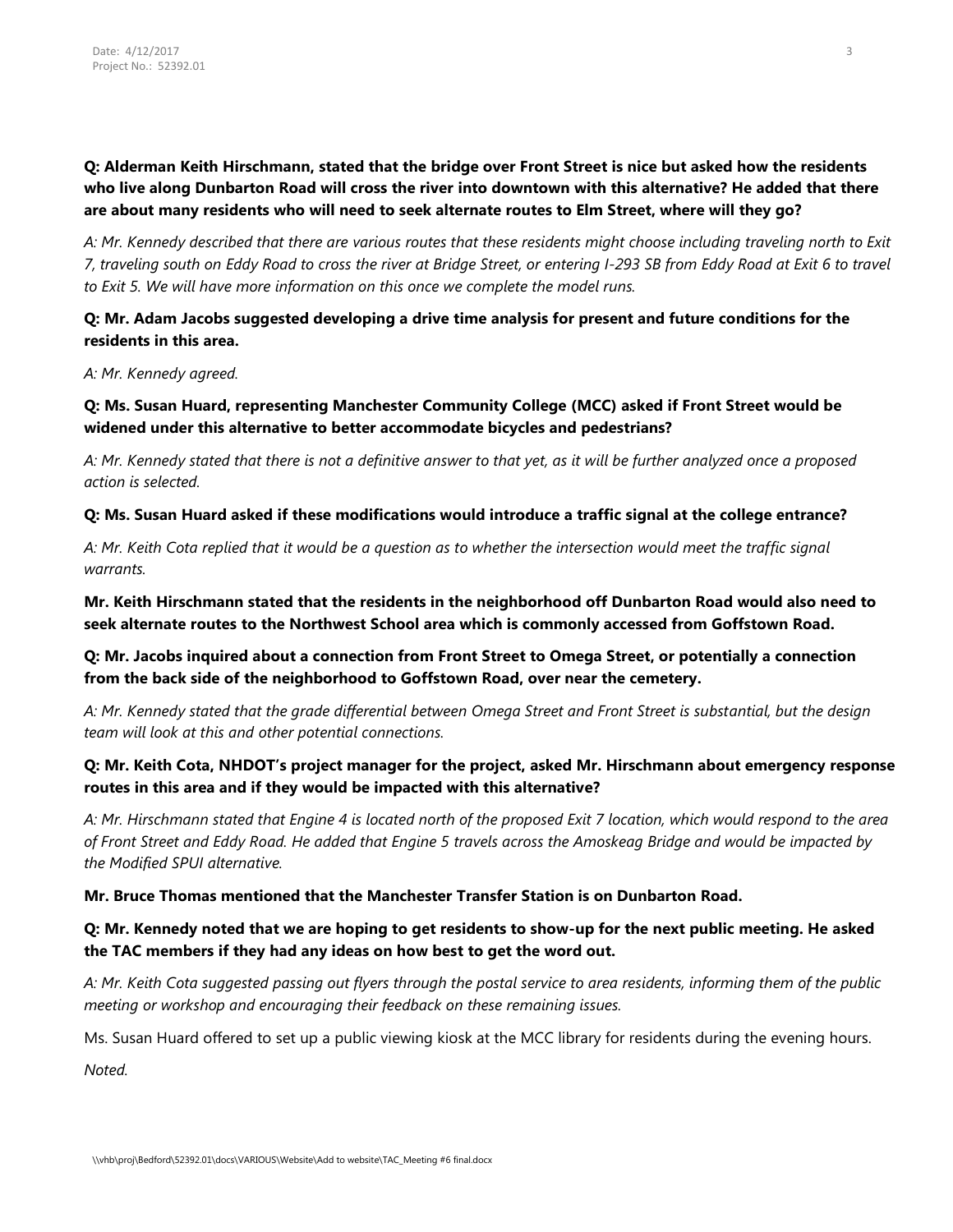**Q: Alderman Keith Hirschmann, stated that the bridge over Front Street is nice but asked how the residents who live along Dunbarton Road will cross the river into downtown with this alternative? He added that there are about many residents who will need to seek alternate routes to Elm Street, where will they go?**

*A: Mr. Kennedy described that there are various routes that these residents might choose including traveling north to Exit 7, traveling south on Eddy Road to cross the river at Bridge Street, or entering I-293 SB from Eddy Road at Exit 6 to travel to Exit 5. We will have more information on this once we complete the model runs.*

**Q: Mr. Adam Jacobs suggested developing a drive time analysis for present and future conditions for the residents in this area.** 

*A: Mr. Kennedy agreed.*

**Q: Ms. Susan Huard, representing Manchester Community College (MCC) asked if Front Street would be widened under this alternative to better accommodate bicycles and pedestrians?**

*A: Mr. Kennedy stated that there is not a definitive answer to that yet, as it will be further analyzed once a proposed action is selected.* 

**Q: Ms. Susan Huard asked if these modifications would introduce a traffic signal at the college entrance?**

*A: Mr. Keith Cota replied that it would be a question as to whether the intersection would meet the traffic signal warrants.*

**Mr. Keith Hirschmann stated that the residents in the neighborhood off Dunbarton Road would also need to seek alternate routes to the Northwest School area which is commonly accessed from Goffstown Road.** 

**Q: Mr. Jacobs inquired about a connection from Front Street to Omega Street, or potentially a connection from the back side of the neighborhood to Goffstown Road, over near the cemetery.**

*A: Mr. Kennedy stated that the grade differential between Omega Street and Front Street is substantial, but the design team will look at this and other potential connections.* 

### **Q: Mr. Keith Cota, NHDOT's project manager for the project, asked Mr. Hirschmann about emergency response routes in this area and if they would be impacted with this alternative?**

*A: Mr. Hirschmann stated that Engine 4 is located north of the proposed Exit 7 location, which would respond to the area of Front Street and Eddy Road. He added that Engine 5 travels across the Amoskeag Bridge and would be impacted by the Modified SPUI alternative.*

**Mr. Bruce Thomas mentioned that the Manchester Transfer Station is on Dunbarton Road.** 

# **Q: Mr. Kennedy noted that we are hoping to get residents to show-up for the next public meeting. He asked the TAC members if they had any ideas on how best to get the word out.**

*A: Mr. Keith Cota suggested passing out flyers through the postal service to area residents, informing them of the public meeting or workshop and encouraging their feedback on these remaining issues.*

Ms. Susan Huard offered to set up a public viewing kiosk at the MCC library for residents during the evening hours.

*Noted.*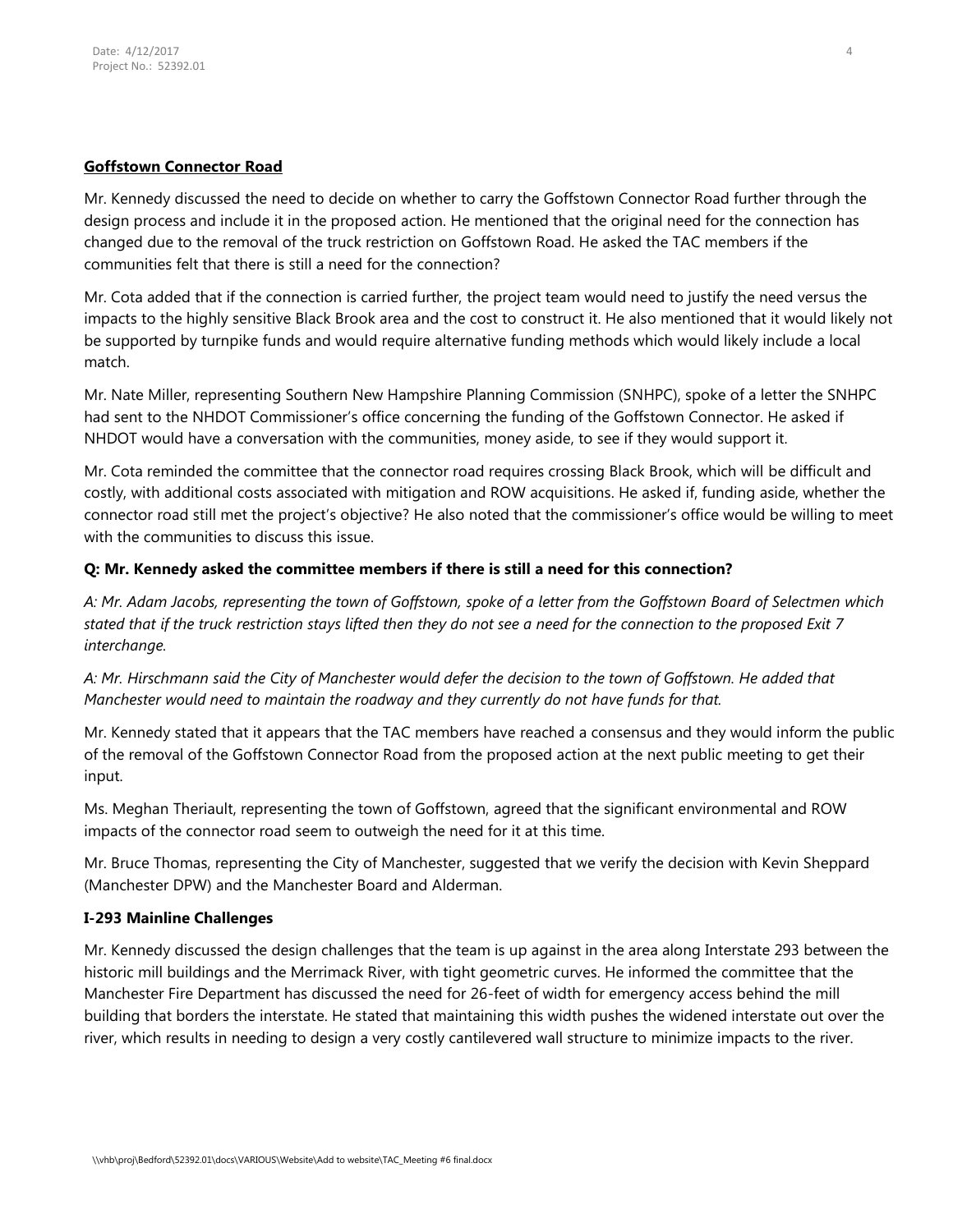### **Goffstown Connector Road**

Mr. Kennedy discussed the need to decide on whether to carry the Goffstown Connector Road further through the design process and include it in the proposed action. He mentioned that the original need for the connection has changed due to the removal of the truck restriction on Goffstown Road. He asked the TAC members if the communities felt that there is still a need for the connection?

Mr. Cota added that if the connection is carried further, the project team would need to justify the need versus the impacts to the highly sensitive Black Brook area and the cost to construct it. He also mentioned that it would likely not be supported by turnpike funds and would require alternative funding methods which would likely include a local match.

Mr. Nate Miller, representing Southern New Hampshire Planning Commission (SNHPC), spoke of a letter the SNHPC had sent to the NHDOT Commissioner's office concerning the funding of the Goffstown Connector. He asked if NHDOT would have a conversation with the communities, money aside, to see if they would support it.

Mr. Cota reminded the committee that the connector road requires crossing Black Brook, which will be difficult and costly, with additional costs associated with mitigation and ROW acquisitions. He asked if, funding aside, whether the connector road still met the project's objective? He also noted that the commissioner's office would be willing to meet with the communities to discuss this issue.

### **Q: Mr. Kennedy asked the committee members if there is still a need for this connection?**

*A: Mr. Adam Jacobs, representing the town of Goffstown, spoke of a letter from the Goffstown Board of Selectmen which stated that if the truck restriction stays lifted then they do not see a need for the connection to the proposed Exit 7 interchange.* 

*A: Mr. Hirschmann said the City of Manchester would defer the decision to the town of Goffstown. He added that Manchester would need to maintain the roadway and they currently do not have funds for that.*

Mr. Kennedy stated that it appears that the TAC members have reached a consensus and they would inform the public of the removal of the Goffstown Connector Road from the proposed action at the next public meeting to get their input.

Ms. Meghan Theriault, representing the town of Goffstown, agreed that the significant environmental and ROW impacts of the connector road seem to outweigh the need for it at this time.

Mr. Bruce Thomas, representing the City of Manchester, suggested that we verify the decision with Kevin Sheppard (Manchester DPW) and the Manchester Board and Alderman.

#### **I-293 Mainline Challenges**

Mr. Kennedy discussed the design challenges that the team is up against in the area along Interstate 293 between the historic mill buildings and the Merrimack River, with tight geometric curves. He informed the committee that the Manchester Fire Department has discussed the need for 26-feet of width for emergency access behind the mill building that borders the interstate. He stated that maintaining this width pushes the widened interstate out over the river, which results in needing to design a very costly cantilevered wall structure to minimize impacts to the river.